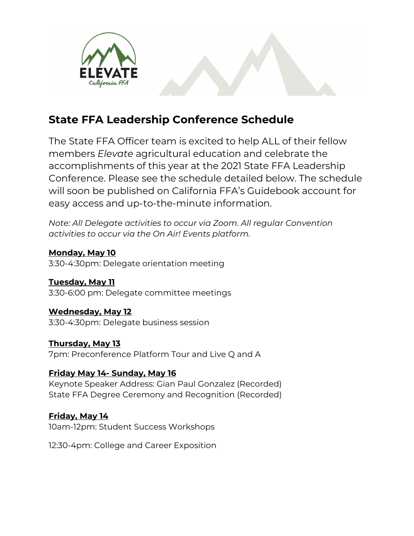

# **State FFA Leadership Conference Schedule**

The State FFA Officer team is excited to help ALL of their fellow members *Elevate* agricultural education and celebrate the accomplishments of this year at the 2021 State FFA Leadership Conference. Please see the schedule detailed below. The schedule will soon be published on California FFA's Guidebook account for easy access and up-to-the-minute information.

*Note: All Delegate activities to occur via Zoom. All regular Convention activities to occur via the On Air! Events platform.*

**Monday, May 10** 3:30-4:30pm: Delegate orientation meeting

**Tuesday, May 11** 3:30-6:00 pm: Delegate committee meetings

**Wednesday, May 12** 3:30-4:30pm: Delegate business session

**Thursday, May 13** 7pm: Preconference Platform Tour and Live Q and A

## **Friday May 14- Sunday, May 16**

Keynote Speaker Address: Gian Paul Gonzalez (Recorded) State FFA Degree Ceremony and Recognition (Recorded)

**Friday, May 14** 10am-12pm: Student Success Workshops

12:30-4pm: College and Career Exposition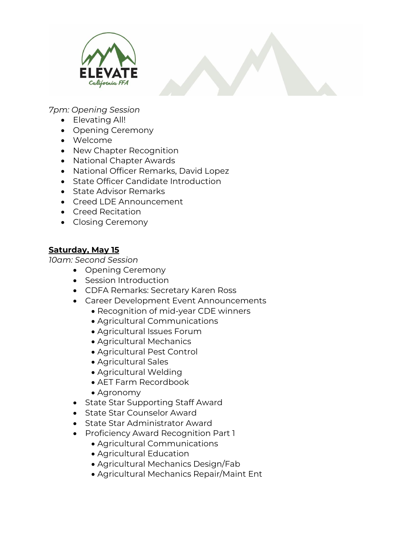

*7pm: Opening Session*

- Elevating All!
- Opening Ceremony
- Welcome
- New Chapter Recognition
- National Chapter Awards
- National Officer Remarks, David Lopez
- State Officer Candidate Introduction
- State Advisor Remarks
- Creed LDE Announcement
- Creed Recitation
- Closing Ceremony

#### **Saturday, May 15**

*10am: Second Session*

- Opening Ceremony
- Session Introduction
- CDFA Remarks: Secretary Karen Ross
- Career Development Event Announcements
	- Recognition of mid-year CDE winners
	- Agricultural Communications
	- Agricultural Issues Forum
	- Agricultural Mechanics
	- Agricultural Pest Control
	- Agricultural Sales
	- Agricultural Welding
	- AET Farm Recordbook
	- Agronomy
- State Star Supporting Staff Award
- State Star Counselor Award
- State Star Administrator Award
- Proficiency Award Recognition Part 1
	- Agricultural Communications
	- Agricultural Education
	- Agricultural Mechanics Design/Fab
	- Agricultural Mechanics Repair/Maint Ent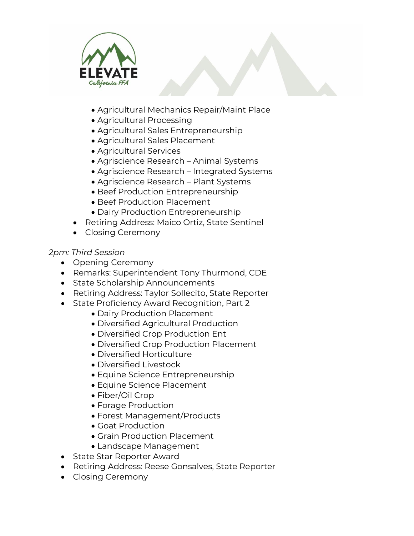

- Agricultural Mechanics Repair/Maint Place
- Agricultural Processing
- Agricultural Sales Entrepreneurship
- Agricultural Sales Placement
- Agricultural Services
- Agriscience Research Animal Systems
- Agriscience Research Integrated Systems
- Agriscience Research Plant Systems
- Beef Production Entrepreneurship
- Beef Production Placement
- Dairy Production Entrepreneurship
- Retiring Address: Maico Ortiz, State Sentinel
- Closing Ceremony

#### *2pm: Third Session*

- Opening Ceremony
- Remarks: Superintendent Tony Thurmond, CDE
- State Scholarship Announcements
- Retiring Address: Taylor Sollecito, State Reporter
- State Proficiency Award Recognition, Part 2
	- Dairy Production Placement
	- Diversified Agricultural Production
	- Diversified Crop Production Ent
	- Diversified Crop Production Placement
	- Diversified Horticulture
	- Diversified Livestock
	- Equine Science Entrepreneurship
	- Equine Science Placement
	- Fiber/Oil Crop
	- Forage Production
	- Forest Management/Products
	- Goat Production
	- Grain Production Placement
	- Landscape Management
- State Star Reporter Award
- Retiring Address: Reese Gonsalves, State Reporter
- Closing Ceremony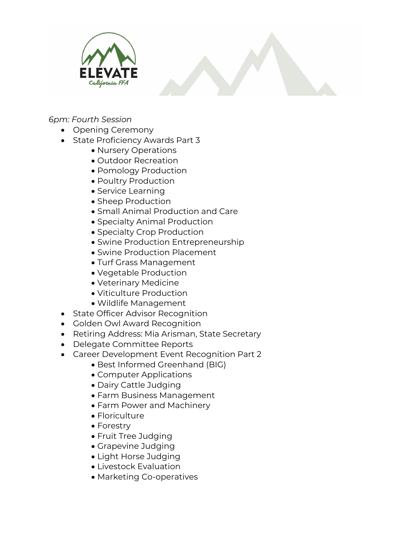

*6pm: Fourth Session*

- Opening Ceremony
- State Proficiency Awards Part 3
	- Nursery Operations
	- Outdoor Recreation
	- Pomology Production
	- Poultry Production
	- Service Learning
	- Sheep Production
	- Small Animal Production and Care
	- Specialty Animal Production
	- Specialty Crop Production
	- Swine Production Entrepreneurship
	- Swine Production Placement
	- Turf Grass Management
	- Vegetable Production
	- Veterinary Medicine
	- Viticulture Production
	- Wildlife Management
- State Officer Advisor Recognition
- Golden Owl Award Recognition
- Retiring Address: Mia Arisman, State Secretary
- Delegate Committee Reports
- Career Development Event Recognition Part 2
	- Best Informed Greenhand (BIG)
	- Computer Applications
	- Dairy Cattle Judging
	- Farm Business Management
	- Farm Power and Machinery
	- Floriculture
	- Forestry
	- Fruit Tree Judging
	- Grapevine Judging
	- Light Horse Judging
	- Livestock Evaluation
	- Marketing Co-operatives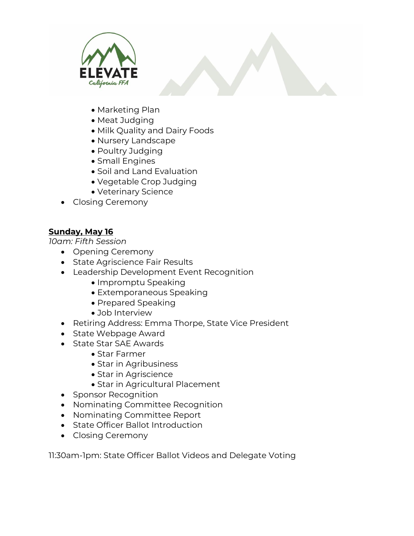

- Marketing Plan
- Meat Judging
- Milk Quality and Dairy Foods
- Nursery Landscape
- Poultry Judging
- Small Engines
- Soil and Land Evaluation
- Vegetable Crop Judging
- Veterinary Science
- Closing Ceremony

### **Sunday, May 16**

*10am: Fifth Session*

- Opening Ceremony
- State Agriscience Fair Results
- Leadership Development Event Recognition
	- Impromptu Speaking
	- Extemporaneous Speaking
	- Prepared Speaking
	- Job Interview
- Retiring Address: Emma Thorpe, State Vice President
- State Webpage Award
- State Star SAE Awards
	- Star Farmer
	- Star in Agribusiness
	- Star in Agriscience
	- Star in Agricultural Placement
- Sponsor Recognition
- Nominating Committee Recognition
- Nominating Committee Report
- State Officer Ballot Introduction
- Closing Ceremony

11:30am-1pm: State Officer Ballot Videos and Delegate Voting